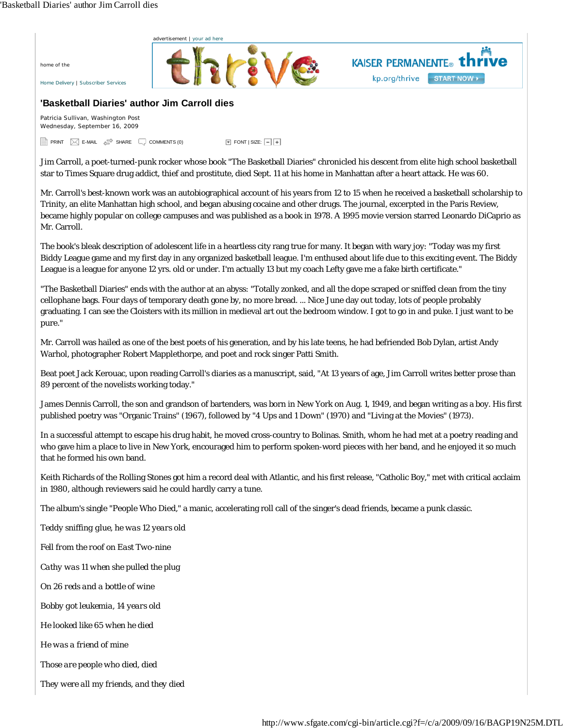home of the



**'Basketball Diaries' author Jim Carroll dies**

Patricia Sullivan, Washington Post Wednesday, September 16, 2009

PRINT I E-MAIL G SHARE LICOMMENTS (0) TONT I SIZE:

Jim Carroll, a poet-turned-punk rocker whose book "The Basketball Diaries" chronicled his descent from elite high school basketball star to Times Square drug addict, thief and prostitute, died Sept. 11 at his home in Manhattan after a heart attack. He was 60.

Mr. Carroll's best-known work was an autobiographical account of his years from 12 to 15 when he received a basketball scholarship to Trinity, an elite Manhattan high school, and began abusing cocaine and other drugs. The journal, excerpted in the Paris Review, became highly popular on college campuses and was published as a book in 1978. A 1995 movie version starred Leonardo DiCaprio as Mr. Carroll.

The book's bleak description of adolescent life in a heartless city rang true for many. It began with wary joy: "Today was my first Biddy League game and my first day in any organized basketball league. I'm enthused about life due to this exciting event. The Biddy League is a league for anyone 12 yrs. old or under. I'm actually 13 but my coach Lefty gave me a fake birth certificate."

"The Basketball Diaries" ends with the author at an abyss: "Totally zonked, and all the dope scraped or sniffed clean from the tiny cellophane bags. Four days of temporary death gone by, no more bread. ... Nice June day out today, lots of people probably graduating. I can see the Cloisters with its million in medieval art out the bedroom window. I got to go in and puke. I just want to be pure."

Mr. Carroll was hailed as one of the best poets of his generation, and by his late teens, he had befriended Bob Dylan, artist Andy Warhol, photographer Robert Mapplethorpe, and poet and rock singer Patti Smith.

Beat poet Jack Kerouac, upon reading Carroll's diaries as a manuscript, said, "At 13 years of age, Jim Carroll writes better prose than 89 percent of the novelists working today."

James Dennis Carroll, the son and grandson of bartenders, was born in New York on Aug. 1, 1949, and began writing as a boy. His first published poetry was "Organic Trains" (1967), followed by "4 Ups and 1 Down" (1970) and "Living at the Movies" (1973).

In a successful attempt to escape his drug habit, he moved cross-country to Bolinas. Smith, whom he had met at a poetry reading and who gave him a place to live in New York, encouraged him to perform spoken-word pieces with her band, and he enjoyed it so much that he formed his own band.

Keith Richards of the Rolling Stones got him a record deal with Atlantic, and his first release, "Catholic Boy," met with critical acclaim in 1980, although reviewers said he could hardly carry a tune.

The album's single "People Who Died," a manic, accelerating roll call of the singer's dead friends, became a punk classic.

*Teddy sniffing glue, he was 12 years old*

*Fell from the roof on East Two-nine*

*Cathy was 11 when she pulled the plug*

*On 26 reds and a bottle of wine*

*Bobby got leukemia, 14 years old*

*He looked like 65 when he died*

*He was a friend of mine*

*Those are people who died, died*

*They were all my friends, and they died*